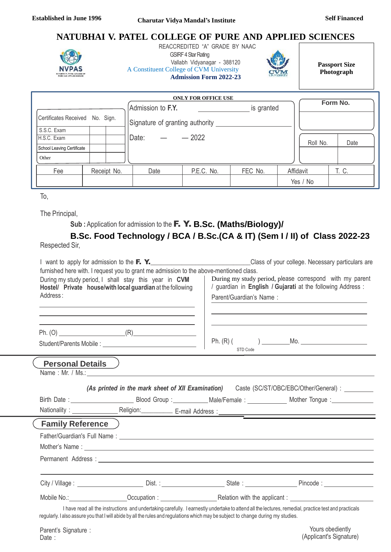## **NATUBHAI V. PATEL COLLEGE OF PURE AND APPLIED SCIENCES**



 REACCREDITED "A" GRADE BY NAAC **GSIRF 4 Star Rating** Vallabh Vidyanagar - 388120 A Constituent College of CVM University **Admission Form 2022-23**



**Passport Size Photograph**

(Applicant's Signature)

|                            |           | Form No.    |                                 |            |         |           |       |
|----------------------------|-----------|-------------|---------------------------------|------------|---------|-----------|-------|
|                            |           |             | Admission to F.Y.<br>is granted |            |         |           |       |
| Certificates Received      | No. Sign. |             | Signature of granting authority |            |         |           |       |
| S.S.C. Exam                |           |             |                                 |            |         |           |       |
| H.S.C. Exam                |           |             | Date:                           | $-2022$    |         | Roll No.  | Date  |
| School Leaving Certificate |           |             |                                 |            |         |           |       |
| Other                      |           |             |                                 |            |         |           |       |
| Fee                        |           | Receipt No. | Date                            | P.E.C. No. | FEC No. | Affidavit | T. C. |
|                            |           |             |                                 |            |         | Yes / No  |       |

To,

Date :

The Principal,

**Sub :** Application for admission to the F. Y. **B.Sc. (Maths/Biology)/**

# **B.Sc. Food Technology / BCA / B.Sc.(CA & IT) (Sem I / II) of Class 2022-23**

Respected Sir,

|                           |                                                                                                                                                                                                                                                                                                                                                                                                                                                                                                                                             |                         | I want to apply for admission to the <b>F. Y.</b> Note that the second term of the second of your college. Necessary particulars are                 |  |  |
|---------------------------|---------------------------------------------------------------------------------------------------------------------------------------------------------------------------------------------------------------------------------------------------------------------------------------------------------------------------------------------------------------------------------------------------------------------------------------------------------------------------------------------------------------------------------------------|-------------------------|------------------------------------------------------------------------------------------------------------------------------------------------------|--|--|
| Address:                  | furnished here with. I request you to grant me admission to the above-mentioned class.<br>During my study period, I shall stay this year in CVM<br>Hostel/ Private house/with local guardian at the following<br>the control of the control of the control of the control of the control of the control of the control of the control of the control of the control of the control of the control of the control of the control of the control<br>the control of the control of the control of the control of the control of the control of | Parent/Guardian's Name: | During my study period, please correspond with my parent<br>/ guardian in English / Gujarati at the following Address :                              |  |  |
|                           |                                                                                                                                                                                                                                                                                                                                                                                                                                                                                                                                             | STD Code                |                                                                                                                                                      |  |  |
| <b>Personal Details</b> ) |                                                                                                                                                                                                                                                                                                                                                                                                                                                                                                                                             |                         |                                                                                                                                                      |  |  |
|                           |                                                                                                                                                                                                                                                                                                                                                                                                                                                                                                                                             |                         | (As printed in the mark sheet of XII Examination) Caste (SC/ST/OBC/EBC/Other/General) : _______                                                      |  |  |
|                           |                                                                                                                                                                                                                                                                                                                                                                                                                                                                                                                                             |                         |                                                                                                                                                      |  |  |
|                           |                                                                                                                                                                                                                                                                                                                                                                                                                                                                                                                                             |                         |                                                                                                                                                      |  |  |
| <b>Family Reference</b> ) |                                                                                                                                                                                                                                                                                                                                                                                                                                                                                                                                             |                         |                                                                                                                                                      |  |  |
|                           |                                                                                                                                                                                                                                                                                                                                                                                                                                                                                                                                             |                         |                                                                                                                                                      |  |  |
|                           |                                                                                                                                                                                                                                                                                                                                                                                                                                                                                                                                             |                         |                                                                                                                                                      |  |  |
|                           |                                                                                                                                                                                                                                                                                                                                                                                                                                                                                                                                             |                         |                                                                                                                                                      |  |  |
|                           |                                                                                                                                                                                                                                                                                                                                                                                                                                                                                                                                             |                         |                                                                                                                                                      |  |  |
|                           |                                                                                                                                                                                                                                                                                                                                                                                                                                                                                                                                             |                         | Mobile No.: Cocupation : Cocupation : Relation with the applicant :                                                                                  |  |  |
|                           | regularly. I also assure you that I will abide by all the rules and regulations which may be subject to change during my studies.                                                                                                                                                                                                                                                                                                                                                                                                           |                         | I have read all the instructions and undertaking carefully. I earnestly undertake to attend all the lectures, remedial, practice test and practicals |  |  |
| Parent's Signature :      |                                                                                                                                                                                                                                                                                                                                                                                                                                                                                                                                             |                         | Yours obediently                                                                                                                                     |  |  |